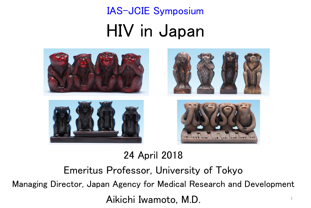HIV in Japan IAS-JCIE Symposium



24 April 2018

Emeritus Professor, University of Tokyo Managing Director, Japan Agency for Medical Research and Development Aikichi Iwamoto, M.D. 1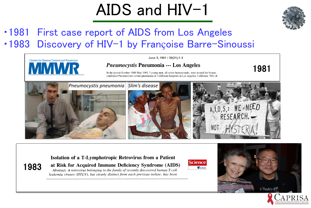# AIDS and HIV-1



#### ・1981 First case report of AIDS from Los Angeles ■1983 Discovery of HIV-1 by Françoise Barre-Sinoussi



#### Isolation of a T-Lymphotropic Retrovirus from a Patient





# it Proofe's CW

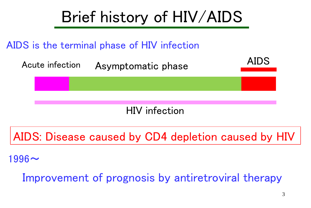

AIDS: Disease caused by CD4 depletion caused by HIV

 $1996$ ~

Improvement of prognosis by antiretroviral therapy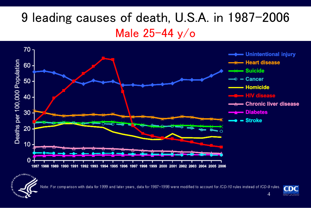## 9 leading causes of death, U.S.A. in 1987-2006 Male 25-44 y/o



Note: For comparison with data for 1999 and later years, data for 1987–1998 were modified to account for *ICD-10* rules instead of *ICD-9* rules.

**OF BEATING** 



4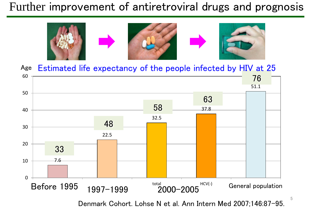#### Further improvement of antiretroviral drugs and prognosis



Age Estimated life expectancy of the people infected by HIV at 25



Denmark Cohort. Lohse N et al. Ann Intern Med 2007;146:87-95.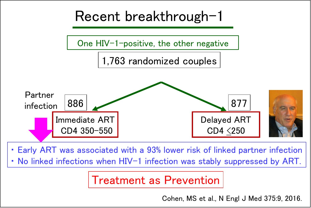

・ Early ART was associated with a 93% lower risk of linked partner infection ・ No linked infections when HIV-1 infection was stably suppressed by ART.

#### Treatment as Prevention

Cohen, MS et al., N Engl J Med 375:9, 2016.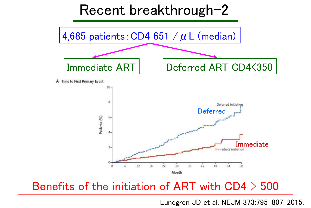

#### Benefits of the initiation of ART with CD4 > 500

Lundgren JD et al, NEJM 373:795-807, 2015.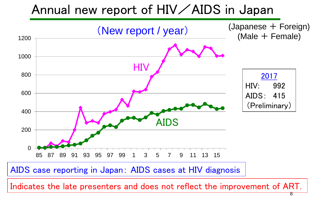#### Annual new report of HIV / AIDS in Japan



Indicates the late presenters and does not reflect the improvement of ART.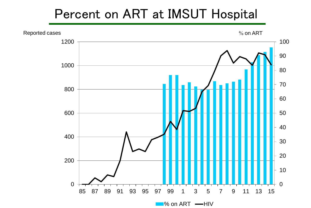#### Percent on ART at IMSUT Hospital

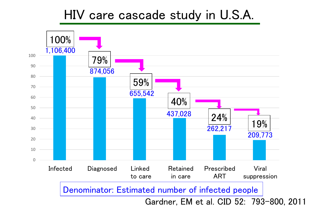#### HIV care cascade study in U.S.A.

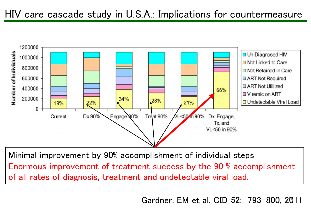#### HIV care cascade study in U.S.A.: Implications for countermeasure



Minimal improvement by 90% accomplishment of individual steps Enormous improvement of treatment success by the 90 % accomplishment of all rates of diagnosis, treatment and undetectable viral load.

<sup>11</sup> Gardner, EM et al. CID 52: 793-800, 2011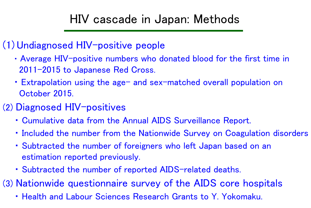### HIV cascade in Japan: Methods

#### (1) Undiagnosed HIV-positive people

- ・ Average HIV-positive numbers who donated blood for the first time in 2011-2015 to Japanese Red Cross.
- Extrapolation using the age- and sex-matched overall population on October 2015.
- (2) Diagnosed HIV-positives
	- ・ Cumulative data from the Annual AIDS Surveillance Report.
	- ・ Included the number from the Nationwide Survey on Coagulation disorders
	- ・ Subtracted the number of foreigners who left Japan based on an estimation reported previously.
	- ・ Subtracted the number of reported AIDS-related deaths.

(3) Nationwide questionnaire survey of the AIDS core hospitals

・ Health and Labour Sciences Research Grants to Y. Yokomaku.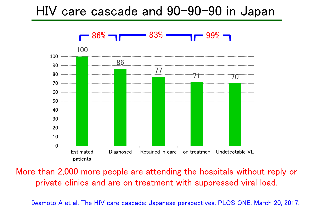#### HIV care cascade and 90-90-90 in Japan



More than 2,000 more people are attending the hospitals without reply or private clinics and are on treatment with suppressed viral load.

Iwamoto A et al, The HIV care cascade: Japanese perspectives. PLOS ONE. March 20, 2017.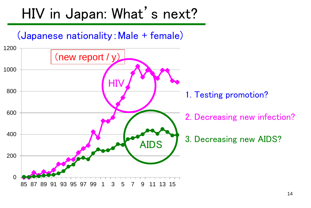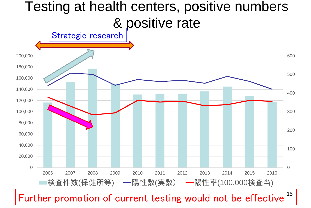#### Testing at health centers, positive numbers & positive rate  $\Omega$ 100 200 300 400 500 600  $\Omega$ 20,000 40,000 60,000 80,000 100,000 120,000 140,000 160,000 180,000 200,000 2006 2007 2008 2009 2010 2011 2012 2013 2014 2015 2016 |検査件数(保健所等) ━陽性数(実数) ━陽性率(100,000検査当) Strategic research

15 Further promotion of current testing would not be effective